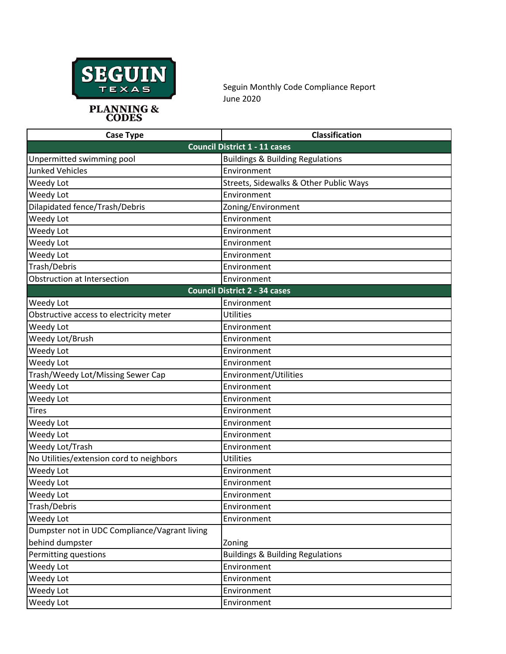

## **PLANNING & CODES**

Seguin Monthly Code Compliance Report June 2020

| <b>Case Type</b>                              | Classification                              |
|-----------------------------------------------|---------------------------------------------|
|                                               | <b>Council District 1 - 11 cases</b>        |
| Unpermitted swimming pool                     | <b>Buildings &amp; Building Regulations</b> |
| <b>Junked Vehicles</b>                        | Environment                                 |
| Weedy Lot                                     | Streets, Sidewalks & Other Public Ways      |
| Weedy Lot                                     | Environment                                 |
| Dilapidated fence/Trash/Debris                | Zoning/Environment                          |
| Weedy Lot                                     | Environment                                 |
| Weedy Lot                                     | Environment                                 |
| Weedy Lot                                     | Environment                                 |
| Weedy Lot                                     | Environment                                 |
| Trash/Debris                                  | Environment                                 |
| Obstruction at Intersection                   | Environment                                 |
|                                               | <b>Council District 2 - 34 cases</b>        |
| Weedy Lot                                     | Environment                                 |
| Obstructive access to electricity meter       | <b>Utilities</b>                            |
| Weedy Lot                                     | Environment                                 |
| Weedy Lot/Brush                               | Environment                                 |
| Weedy Lot                                     | Environment                                 |
| Weedy Lot                                     | Environment                                 |
| Trash/Weedy Lot/Missing Sewer Cap             | Environment/Utilities                       |
| Weedy Lot                                     | Environment                                 |
| Weedy Lot                                     | Environment                                 |
| <b>Tires</b>                                  | Environment                                 |
| Weedy Lot                                     | Environment                                 |
| Weedy Lot                                     | Environment                                 |
| Weedy Lot/Trash                               | Environment                                 |
| No Utilities/extension cord to neighbors      | <b>Utilities</b>                            |
| Weedy Lot                                     | Environment                                 |
| Weedy Lot                                     | Environment                                 |
| Weedy Lot                                     | Environment                                 |
| Trash/Debris                                  | Environment                                 |
| Weedy Lot                                     | Environment                                 |
| Dumpster not in UDC Compliance/Vagrant living |                                             |
| behind dumpster                               | Zoning                                      |
| Permitting questions                          | <b>Buildings &amp; Building Regulations</b> |
| Weedy Lot                                     | Environment                                 |
| Weedy Lot                                     | Environment                                 |
| Weedy Lot                                     | Environment                                 |
| Weedy Lot                                     | Environment                                 |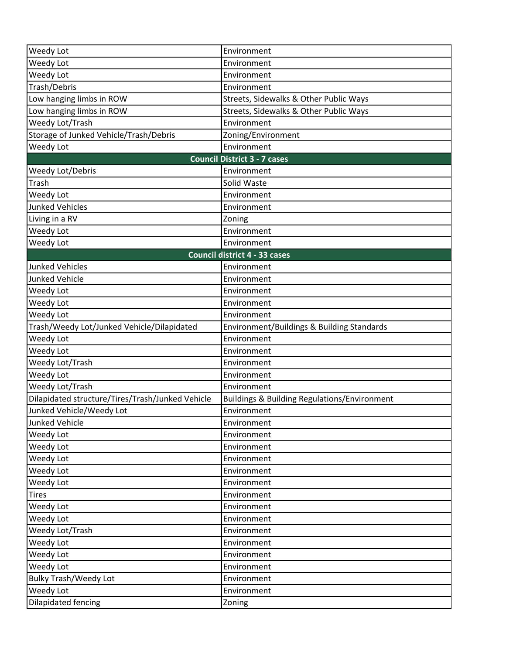| Weedy Lot                                        | Environment                                             |
|--------------------------------------------------|---------------------------------------------------------|
| Weedy Lot                                        | Environment                                             |
| Weedy Lot                                        | Environment                                             |
| Trash/Debris                                     | Environment                                             |
| Low hanging limbs in ROW                         | Streets, Sidewalks & Other Public Ways                  |
| Low hanging limbs in ROW                         | Streets, Sidewalks & Other Public Ways                  |
| Weedy Lot/Trash                                  | Environment                                             |
| Storage of Junked Vehicle/Trash/Debris           | Zoning/Environment                                      |
| Weedy Lot                                        | Environment                                             |
|                                                  | <b>Council District 3 - 7 cases</b>                     |
| Weedy Lot/Debris                                 | Environment                                             |
| Trash                                            | Solid Waste                                             |
| Weedy Lot                                        | Environment                                             |
| <b>Junked Vehicles</b>                           | Environment                                             |
| Living in a RV                                   | Zoning                                                  |
| Weedy Lot                                        | Environment                                             |
| Weedy Lot                                        | Environment                                             |
|                                                  | Council district 4 - 33 cases                           |
| <b>Junked Vehicles</b>                           | Environment                                             |
| <b>Junked Vehicle</b>                            | Environment                                             |
| Weedy Lot                                        | Environment                                             |
| Weedy Lot                                        | Environment                                             |
| Weedy Lot                                        | Environment                                             |
| Trash/Weedy Lot/Junked Vehicle/Dilapidated       | Environment/Buildings & Building Standards              |
| Weedy Lot                                        | Environment                                             |
| Weedy Lot                                        | Environment                                             |
| Weedy Lot/Trash                                  | Environment                                             |
| Weedy Lot                                        | Environment                                             |
| Weedy Lot/Trash                                  | Environment                                             |
| Dilapidated structure/Tires/Trash/Junked Vehicle | <b>Buildings &amp; Building Regulations/Environment</b> |
| Junked Vehicle/Weedy Lot                         | Environment                                             |
| Junked Vehicle                                   | Environment                                             |
| Weedy Lot                                        | Environment                                             |
| Weedy Lot                                        | Environment                                             |
| Weedy Lot                                        | Environment                                             |
| Weedy Lot                                        | Environment                                             |
| Weedy Lot                                        | Environment                                             |
| <b>Tires</b>                                     | Environment                                             |
| Weedy Lot                                        | Environment                                             |
| Weedy Lot                                        | Environment                                             |
| Weedy Lot/Trash                                  | Environment                                             |
| Weedy Lot                                        | Environment                                             |
| Weedy Lot                                        | Environment                                             |
| Weedy Lot                                        | Environment                                             |
| <b>Bulky Trash/Weedy Lot</b>                     | Environment                                             |
| Weedy Lot                                        | Environment                                             |
| Dilapidated fencing                              | Zoning                                                  |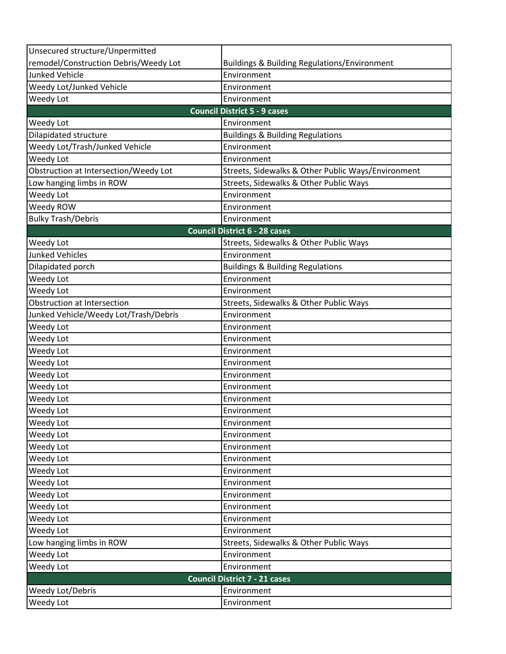| Unsecured structure/Unpermitted       |                                                         |  |
|---------------------------------------|---------------------------------------------------------|--|
| remodel/Construction Debris/Weedy Lot | <b>Buildings &amp; Building Regulations/Environment</b> |  |
| <b>Junked Vehicle</b>                 | Environment                                             |  |
| Weedy Lot/Junked Vehicle              | Environment                                             |  |
| Weedy Lot                             | Environment                                             |  |
| <b>Council District 5 - 9 cases</b>   |                                                         |  |
| <b>Weedy Lot</b>                      | Environment                                             |  |
| Dilapidated structure                 | <b>Buildings &amp; Building Regulations</b>             |  |
| Weedy Lot/Trash/Junked Vehicle        | Environment                                             |  |
| Weedy Lot                             | Environment                                             |  |
| Obstruction at Intersection/Weedy Lot | Streets, Sidewalks & Other Public Ways/Environment      |  |
| Low hanging limbs in ROW              | Streets, Sidewalks & Other Public Ways                  |  |
| Weedy Lot                             | Environment                                             |  |
| Weedy ROW                             | Environment                                             |  |
| <b>Bulky Trash/Debris</b>             | Environment                                             |  |
|                                       | <b>Council District 6 - 28 cases</b>                    |  |
| Weedy Lot                             | Streets, Sidewalks & Other Public Ways                  |  |
| <b>Junked Vehicles</b>                | Environment                                             |  |
| Dilapidated porch                     | <b>Buildings &amp; Building Regulations</b>             |  |
| Weedy Lot                             | Environment                                             |  |
| Weedy Lot                             | Environment                                             |  |
| Obstruction at Intersection           | Streets, Sidewalks & Other Public Ways                  |  |
| Junked Vehicle/Weedy Lot/Trash/Debris | Environment                                             |  |
| Weedy Lot                             | Environment                                             |  |
| Weedy Lot                             | Environment                                             |  |
| Weedy Lot                             | Environment                                             |  |
| Weedy Lot                             | Environment                                             |  |
| Weedy Lot                             | Environment                                             |  |
| Weedy Lot                             | Environment                                             |  |
| Weedy Lot                             | Environment                                             |  |
| Weedy Lot                             | Environment                                             |  |
| Weedy Lot                             | Environment                                             |  |
| Weedy Lot                             | Environment                                             |  |
| Weedy Lot                             | Environment                                             |  |
| Weedy Lot                             | Environment                                             |  |
| Weedy Lot                             | Environment                                             |  |
| Weedy Lot                             | Environment                                             |  |
| Weedy Lot                             | Environment                                             |  |
| Weedy Lot                             | Environment                                             |  |
| Weedy Lot                             | Environment                                             |  |
| Weedy Lot                             | Environment                                             |  |
| Low hanging limbs in ROW              | Streets, Sidewalks & Other Public Ways                  |  |
| Weedy Lot                             | Environment                                             |  |
| Weedy Lot                             | Environment                                             |  |
| <b>Council District 7 - 21 cases</b>  |                                                         |  |
| Weedy Lot/Debris                      | Environment                                             |  |
| Weedy Lot                             | Environment                                             |  |